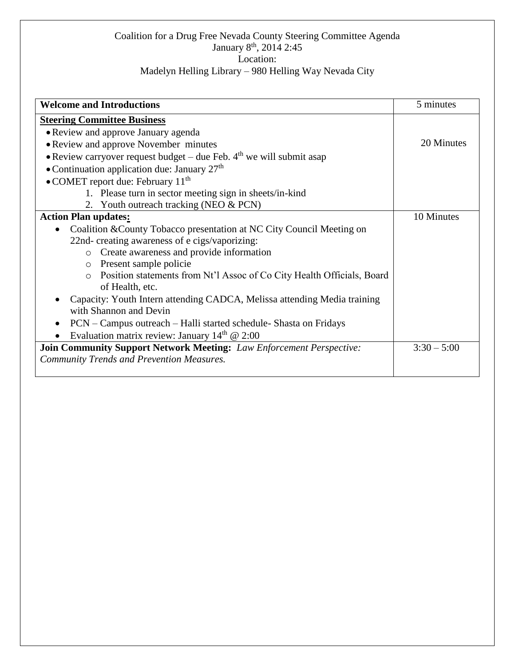## Coalition for a Drug Free Nevada County Steering Committee Agenda January 8<sup>th</sup>, 2014 2:45 Location:

## Madelyn Helling Library – 980 Helling Way Nevada City

| <b>Welcome and Introductions</b>                                                   | 5 minutes     |
|------------------------------------------------------------------------------------|---------------|
| <b>Steering Committee Business</b>                                                 |               |
| • Review and approve January agenda                                                |               |
| • Review and approve November minutes                                              | 20 Minutes    |
| • Review carryover request budget – due Feb. $4th$ we will submit asap             |               |
| • Continuation application due: January 27 <sup>th</sup>                           |               |
| $\bullet$ COMET report due: February 11 <sup>th</sup>                              |               |
| 1. Please turn in sector meeting sign in sheets/in-kind                            |               |
| 2. Youth outreach tracking (NEO & PCN)                                             |               |
| <b>Action Plan updates:</b>                                                        | 10 Minutes    |
| Coalition & County Tobacco presentation at NC City Council Meeting on              |               |
| 22nd- creating awareness of e cigs/vaporizing:                                     |               |
| Create awareness and provide information<br>$\circ$                                |               |
| o Present sample policie                                                           |               |
| Position statements from Nt'l Assoc of Co City Health Officials, Board<br>$\Omega$ |               |
| of Health, etc.                                                                    |               |
| Capacity: Youth Intern attending CADCA, Melissa attending Media training           |               |
| with Shannon and Devin                                                             |               |
| PCN – Campus outreach – Halli started schedule- Shasta on Fridays                  |               |
| Evaluation matrix review: January $14th$ @ 2:00                                    |               |
| <b>Join Community Support Network Meeting:</b> Law Enforcement Perspective:        | $3:30 - 5:00$ |
| <b>Community Trends and Prevention Measures.</b>                                   |               |
|                                                                                    |               |